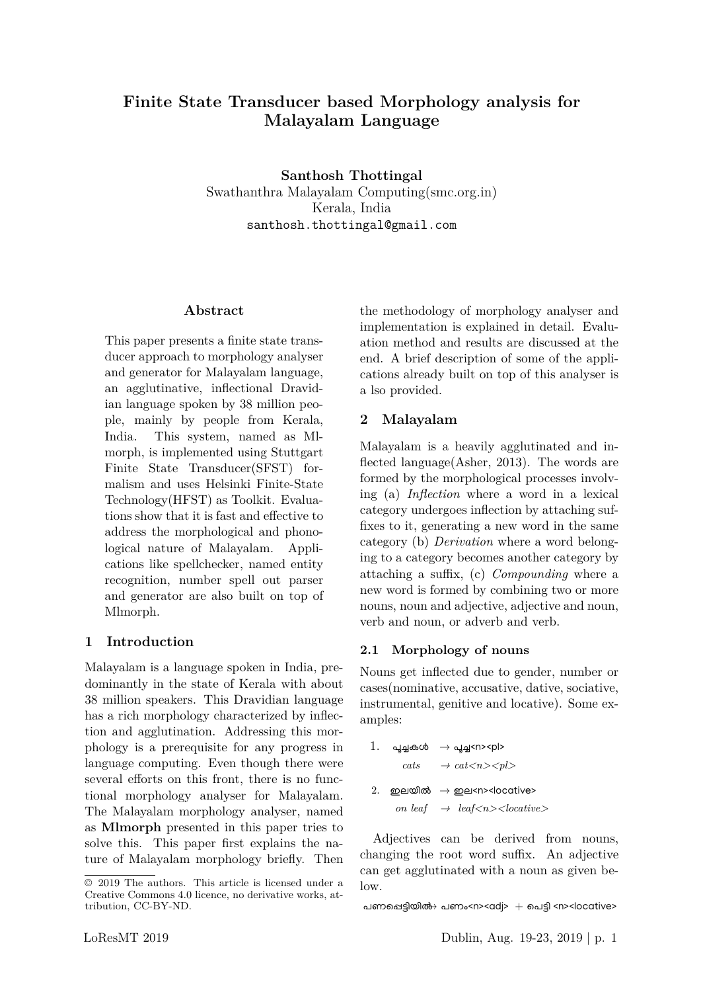# **Finite State Transducer based Morphology analysis for Malayalam Language**

**Santhosh Thottingal** Swathanthra Malayalam Computing(smc.org.in) Kerala, India santhosh.thottingal@gmail.com

#### **Abstract**

This paper presents a finite state transducer approach to morphology analyser and generator for Malayalam language, an agglutinative, inflectional Dravidian language spoken by 38 million people, mainly by people from Kerala, India. This system, named as Mlmorph, is implemented using Stuttgart Finite State Transducer(SFST) formalism and uses Helsinki Finite-State Technology(HFST) as Toolkit. Evaluations show that it is fast and effective to address the morphological and phonological nature of Malayalam. Applications like spellchecker, named entity recognition, number spell out parser and generator are also built on top of Mlmorph.

#### **1 Introduction**

Malayalam is a language spoken in India, predominantly in the state of Kerala with about 38 million speakers. This Dravidian language has a rich morphology characterized by inflection and agglutination. Addressing this morphology is a prerequisite for any progress in language computing. Even though there were several efforts on this front, there is no functional morphology analyser for Malayalam. The Malayalam morphology analyser, named as **Mlmorph** presented in this paper tries to solve this. This paper first explains the nature of Malayalam morphology briefly. Then the methodology of morphology analyser and implementation is explained in detail. Evaluation method and results are discussed at the end. A brief description of some of the applications already built on top of this analyser is a lso provided.

### **2 Malayalam**

Malayalam is a heavily agglutinated and inflected language(Asher, 2013). The words are formed by the morphological processes involving (a) *Inflection* where a word in a lexical category undergoes inflection by attaching suffixes to it, generating a new word in the same category (b) *Derivation* where a word belonging to a category becomes another category by attaching a suffix, (c) *Compounding* where a new word is formed by combining two or more nouns, noun and adjective, adjective and noun, verb and noun, or adverb and verb.

#### **2.1 Morphology of nouns**

Nouns get inflected due to gender, number or cases(nominative, accusative, dative, sociative, instrumental, genitive and locative). Some examples:

|  | $1.$ പൂച്ചകൾ $\rightarrow$ പൂച്ച <n><pl></pl></n>                                          |
|--|--------------------------------------------------------------------------------------------|
|  | $\textit{cats} \rightarrow \textit{cat} \text{<} n \text{>} \text{<} \textit{pl} \text{>}$ |
|  | 2. ഇലയിൽ $\rightarrow$ ഇല <n><locative></locative></n>                                     |
|  | on leaf $\rightarrow$ leaf $\langle n \rangle$ $\leq$ locative $>$                         |

Adjectives can be derived from nouns, changing the root word suffix. An adjective can get agglutinated with a noun as given be- $\log$ 

പണപ്പെട്ടിയിൽ $\rightarrow$  പണം<n><adj>  $+$  പെട്ടി <n><locative>

<sup>© 2019</sup> The authors. This article is licensed under a Creative Commons 4.0 licence, no derivative works, attribution, CC-BY-ND.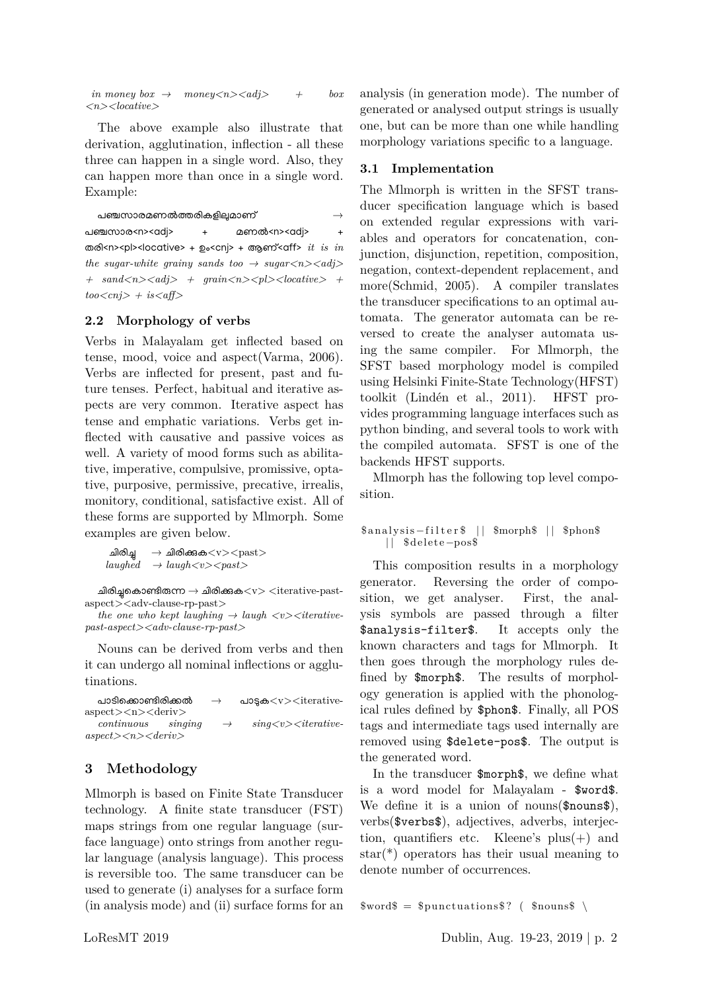*in money box*  $\rightarrow$  *money <n> <adj>*  $+$  *box <n><locative>*

The above example also illustrate that derivation, agglutination, inflection - all these three can happen in a single word. Also, they can happen more than once in a single word. Example:

പഞ്ചസാരമണൽത്തരികളിലുമാണ് പഞ്ചസാര<n><adj> + മണൽ<n><adj> തരി<n><pl><locative> + ഉം<cnj> + ആണ്<aff> *it is in the sugar-white grainy sands too*  $\rightarrow$  sugar $\langle n \rangle \langle adj \rangle$  $+$  sand $\langle n \rangle \langle nd \rangle$  + grain $\langle n \rangle \langle pl \rangle \langle locative \rangle$  + *too<cnj> + is<aff>*

#### **2.2 Morphology of verbs**

Verbs in Malayalam get inflected based on tense, mood, voice and aspect(Varma, 2006). Verbs are inflected for present, past and future tenses. Perfect, habitual and iterative aspects are very common. Iterative aspect has tense and emphatic variations. Verbs get inflected with causative and passive voices as well. A variety of mood forms such as abilitative, imperative, compulsive, promissive, optative, purposive, permissive, precative, irrealis, monitory, conditional, satisfactive exist. All of these forms are supported by Mlmorph. Some examples are given below.

```
ചിരിച്ച\rightarrowചിരിക്കുക<v><past>laughed \rightarrow laugh <v>
```
ചിരിച്ചകൊണ്ടിരുന്ന  $\rightarrow$  ചിരിക്കുക $<$ v $>$   $<$ iterative-pastaspect><adv-clause-rp-past>

```
the one who kept laughing \rightarrow laugh \langle v \rangle \langle <i>iterative-
past-aspect><adv-clause-rp-past>
```
Nouns can be derived from verbs and then it can undergo all nominal inflections or agglutinations.

| പാടിക്കൊണ്ടിരിക്കൽ                                      | $\rightarrow$ | പാട്ടക $<$ v $>$ iterative-       |
|---------------------------------------------------------|---------------|-----------------------------------|
| $\alpha$ spect $>$ $\alpha$ $>$ $\alpha$ eriv $>$       |               |                                   |
| $continuous$ $\quad$ singing                            | $\rightarrow$ | $sin\frac{q}{y} < v <$ iterative- |
| $\alpha spec t$ > $\langle n \rangle$ $\langle$ deriv > |               |                                   |

### **3 Methodology**

Mlmorph is based on Finite State Transducer technology. A finite state transducer (FST) maps strings from one regular language (surface language) onto strings from another regular language (analysis language). This process is reversible too. The same transducer can be used to generate (i) analyses for a surface form (in analysis mode) and (ii) surface forms for an analysis (in generation mode). The number of generated or analysed output strings is usually one, but can be more than one while handling morphology variations specific to a language.

#### **3.1 Implementation**

The Mlmorph is written in the SFST transducer specification language which is based on extended regular expressions with variables and operators for concatenation, conjunction, disjunction, repetition, composition, negation, context-dependent replacement, and more(Schmid, 2005). A compiler translates the transducer specifications to an optimal automata. The generator automata can be reversed to create the analyser automata using the same compiler. For Mlmorph, the SFST based morphology model is compiled using Helsinki Finite-State Technology(HFST) toolkit (Lindén et al., 2011). HFST provides programming language interfaces such as python binding, and several tools to work with the compiled automata. SFST is one of the backends HFST supports.

Mlmorph has the following top level composition.

#### \$analysis-filter\$ || \$morph\$ || \$phon\$ | | \$delete−pos\$

This composition results in a morphology generator. Reversing the order of composition, we get analyser. First, the analysis symbols are passed through a filter \$analysis-filter\$. It accepts only the known characters and tags for Mlmorph. It then goes through the morphology rules defined by \$morph\$. The results of morphology generation is applied with the phonological rules defined by \$phon\$. Finally, all POS tags and intermediate tags used internally are removed using \$delete-pos\$. The output is the generated word.

In the transducer \$morph\$, we define what is a word model for Malayalam - \$word\$. We define it is a union of nouns  $(\text{spounds}),$ verbs(\$verbs\$), adjectives, adverbs, interjection, quantifiers etc. Kleene's  $plus(+)$  and star(\*) operators has their usual meaning to denote number of occurrences.

```
$words = $punctuations ($nouns$)
```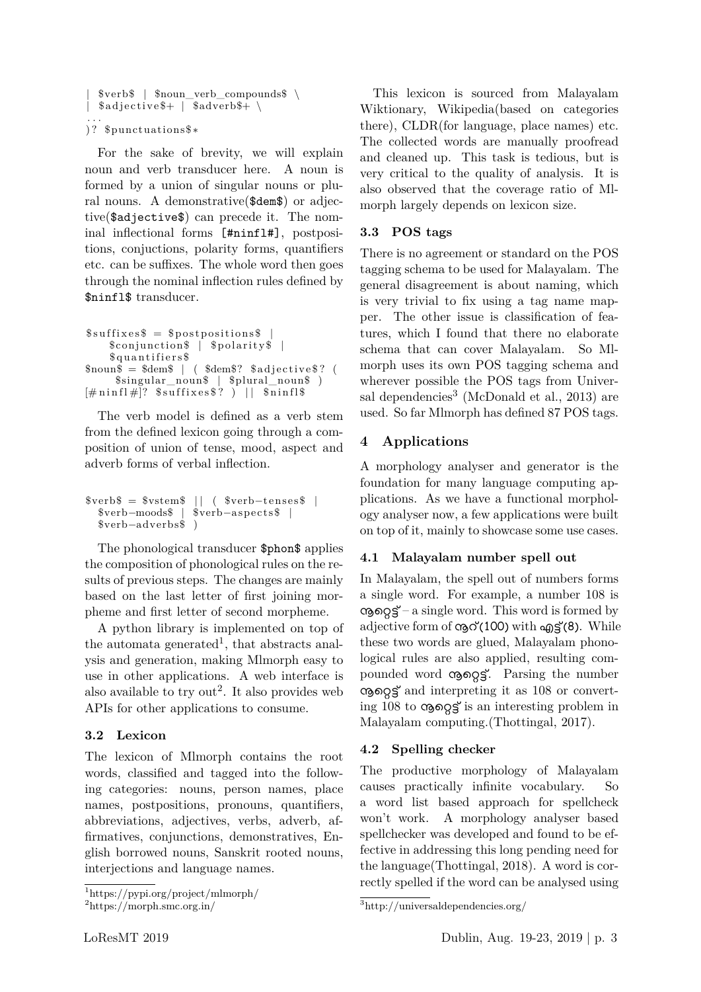```
| $verb$ | $noun_verb_compounds$ \
  \{4\}adjective\{4\} | \{4\}adverb\{4\} \
. . .
)? $punctuations$*
```
For the sake of brevity, we will explain noun and verb transducer here. A noun is formed by a union of singular nouns or plural nouns. A demonstrative(\$dem\$) or adjective(\$adjective\$) can precede it. The nominal inflectional forms [#ninfl#], postpositions, conjuctions, polarity forms, quantifiers etc. can be suffixes. The whole word then goes through the nominal inflection rules defined by \$ninfl\$ transducer.

```
$suffixes<sup>$</sup> = $postpositions<sup>$</sup>
     $conjunction$ | $polarity$ |
     $quantifiers$
$noun$ = $dem$ \ | \ ( $dem$? \ $adjective$ ? \ ($singular_noun$ | $plural_noun$ )
\left[\text{\#}\min\left\{1\text{\#}\right]^2 $suffixes$? \right) | $ninfl$
```
The verb model is defined as a verb stem from the defined lexicon going through a composition of union of tense, mood, aspect and adverb forms of verbal inflection.

```
$verb$= $vstem$ || ( $verb$-tenses ||<br>$verb$-aspects ||$verb−moods$ | $verb−aspects$ |
   $verb−adverbs$ )
```
The phonological transducer \$phon\$ applies the composition of phonological rules on the results of previous steps. The changes are mainly based on the last letter of first joining morpheme and first letter of second morpheme.

A python library is implemented on top of the automata generated<sup>1</sup>, that abstracts analysis and generation, making Mlmorph easy to use in other applications. A web interface is also available to try out<sup>2</sup>. It also provides web APIs for other applications to consume.

### **3.2 Lexicon**

The lexicon of Mlmorph contains the root words, classified and tagged into the following categories: nouns, person names, place names, postpositions, pronouns, quantifiers, abbreviations, adjectives, verbs, adverb, affirmatives, conjunctions, demonstratives, English borrowed nouns, Sanskrit rooted nouns, interjections and language names.

<sup>1</sup>https://pypi.org/project/mlmorph/

This lexicon is sourced from Malayalam Wiktionary, Wikipedia(based on categories there), CLDR(for language, place names) etc. The collected words are manually proofread and cleaned up. This task is tedious, but is very critical to the quality of analysis. It is also observed that the coverage ratio of Mlmorph largely depends on lexicon size.

#### **3.3 POS tags**

There is no agreement or standard on the POS tagging schema to be used for Malayalam. The general disagreement is about naming, which is very trivial to fix using a tag name mapper. The other issue is classification of features, which I found that there no elaborate schema that can cover Malayalam. So Mlmorph uses its own POS tagging schema and wherever possible the POS tags from Universal dependencies<sup>3</sup> (McDonald et al., 2013) are used. So far Mlmorph has defined 87 POS tags.

# **4 Applications**

A morphology analyser and generator is the foundation for many language computing applications. As we have a functional morphology analyser now, a few applications were built on top of it, mainly to showcase some use cases.

### **4.1 Malayalam number spell out**

In Malayalam, the spell out of numbers forms a single word. For example, a number 108 is  $ω$ εος έγενε – a single word. This word is formed by adjective form of  $\omega$ <sup> $\gamma$ </sup> (100) with  $\omega$ <sup> $\gamma$ </sup> (8). While these two words are glued, Malayalam phonological rules are also applied, resulting compounded word congs. Parsing the number ńെȓé് and interpreting it as 108 or converting 108 to  $\cos\phi\leq$  is an interesting problem in Malayalam computing.(Thottingal, 2017).

### **4.2 Spelling checker**

The productive morphology of Malayalam causes practically infinite vocabulary. So a word list based approach for spellcheck won't work. A morphology analyser based spellchecker was developed and found to be effective in addressing this long pending need for the language(Thottingal, 2018). A word is correctly spelled if the word can be analysed using

<sup>2</sup>https://morph.smc.org.in/

<sup>3</sup>http://universaldependencies.org/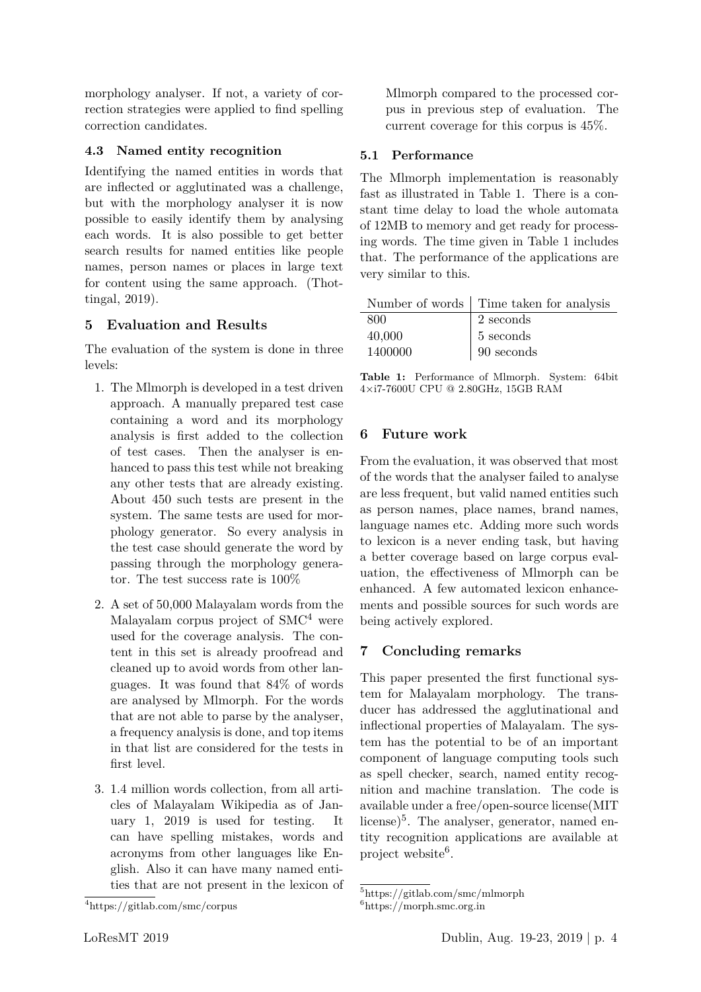morphology analyser. If not, a variety of correction strategies were applied to find spelling correction candidates.

#### **4.3 Named entity recognition**

Identifying the named entities in words that are inflected or agglutinated was a challenge, but with the morphology analyser it is now possible to easily identify them by analysing each words. It is also possible to get better search results for named entities like people names, person names or places in large text for content using the same approach. (Thottingal, 2019).

### **5 Evaluation and Results**

The evaluation of the system is done in three levels:

- 1. The Mlmorph is developed in a test driven approach. A manually prepared test case containing a word and its morphology analysis is first added to the collection of test cases. Then the analyser is enhanced to pass this test while not breaking any other tests that are already existing. About 450 such tests are present in the system. The same tests are used for morphology generator. So every analysis in the test case should generate the word by passing through the morphology generator. The test success rate is 100%
- 2. A set of 50,000 Malayalam words from the Malayalam corpus project of SMC<sup>4</sup> were used for the coverage analysis. The content in this set is already proofread and cleaned up to avoid words from other languages. It was found that 84% of words are analysed by Mlmorph. For the words that are not able to parse by the analyser, a frequency analysis is done, and top items in that list are considered for the tests in first level.
- 3. 1.4 million words collection, from all articles of Malayalam Wikipedia as of January 1, 2019 is used for testing. It can have spelling mistakes, words and acronyms from other languages like English. Also it can have many named entities that are not present in the lexicon of

Mlmorph compared to the processed corpus in previous step of evaluation. The current coverage for this corpus is 45%.

#### **5.1 Performance**

The Mlmorph implementation is reasonably fast as illustrated in Table 1. There is a constant time delay to load the whole automata of 12MB to memory and get ready for processing words. The time given in Table 1 includes that. The performance of the applications are very similar to this.

|         | Number of words   Time taken for analysis |
|---------|-------------------------------------------|
| 800     | 2 seconds                                 |
| 40,000  | $\vert$ 5 seconds                         |
| 1400000 | $\vert$ 90 seconds                        |

**Table 1:** Performance of Mlmorph. System: 64bit 4×i7-7600U CPU @ 2.80GHz, 15GB RAM

### **6 Future work**

From the evaluation, it was observed that most of the words that the analyser failed to analyse are less frequent, but valid named entities such as person names, place names, brand names, language names etc. Adding more such words to lexicon is a never ending task, but having a better coverage based on large corpus evaluation, the effectiveness of Mlmorph can be enhanced. A few automated lexicon enhancements and possible sources for such words are being actively explored.

# **7 Concluding remarks**

This paper presented the first functional system for Malayalam morphology. The transducer has addressed the agglutinational and inflectional properties of Malayalam. The system has the potential to be of an important component of language computing tools such as spell checker, search, named entity recognition and machine translation. The code is available under a free/open-source license(MIT license)<sup>5</sup>. The analyser, generator, named entity recognition applications are available at project website<sup>6</sup>.

<sup>4</sup>https://gitlab.com/smc/corpus

<sup>5</sup>https://gitlab.com/smc/mlmorph

<sup>6</sup>https://morph.smc.org.in